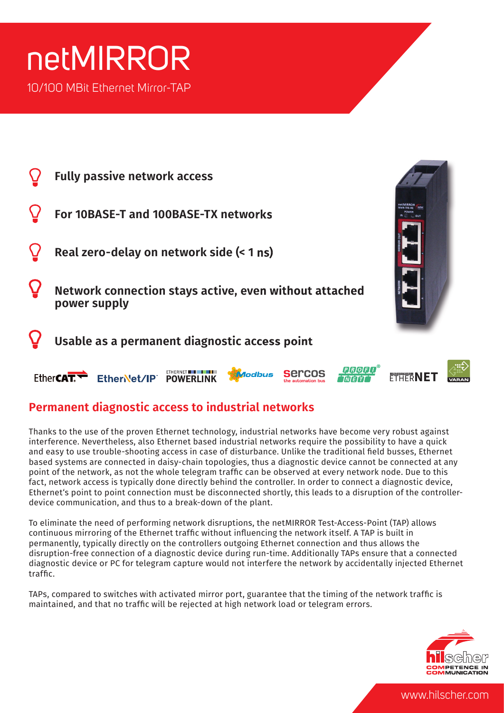## netMIRROR 10/100 MBit Ethernet Mirror-TAP

| <b>Fully passive network access</b>                                    |  |
|------------------------------------------------------------------------|--|
| For 10BASE-T and 100BASE-TX networks                                   |  |
| Real zero-delay on network side (< 1 ns)                               |  |
| Network connection stays active, even without attached<br>power supply |  |
| Usable as a permanent diagnostic access point                          |  |
| Modbus<br><b>EtherCAT</b><br>EtherNet/IP<br><b>POWERLINK</b>           |  |

### **Permanent diagnostic access to industrial networks**

Thanks to the use of the proven Ethernet technology, industrial networks have become very robust against interference. Nevertheless, also Ethernet based industrial networks require the possibility to have a quick and easy to use trouble-shooting access in case of disturbance. Unlike the traditional field busses, Ethernet based systems are connected in daisy-chain topologies, thus a diagnostic device cannot be connected at any point of the network, as not the whole telegram traffic can be observed at every network node. Due to this fact, network access is typically done directly behind the controller. In order to connect a diagnostic device, Ethernet's point to point connection must be disconnected shortly, this leads to a disruption of the controllerdevice communication, and thus to a break-down of the plant.

To eliminate the need of performing network disruptions, the netMIRROR Test-Access-Point (TAP) allows continuous mirroring of the Ethernet traffic without influencing the network itself. A TAP is built in permanently, typically directly on the controllers outgoing Ethernet connection and thus allows the disruption-free connection of a diagnostic device during run-time. Additionally TAPs ensure that a connected diagnostic device or PC for telegram capture would not interfere the network by accidentally injected Ethernet  $traffic$ 

TAPs, compared to switches with activated mirror port, guarantee that the timing of the network traffic is maintained, and that no traffic will be rejected at high network load or telegram errors.



www.hilscher.com